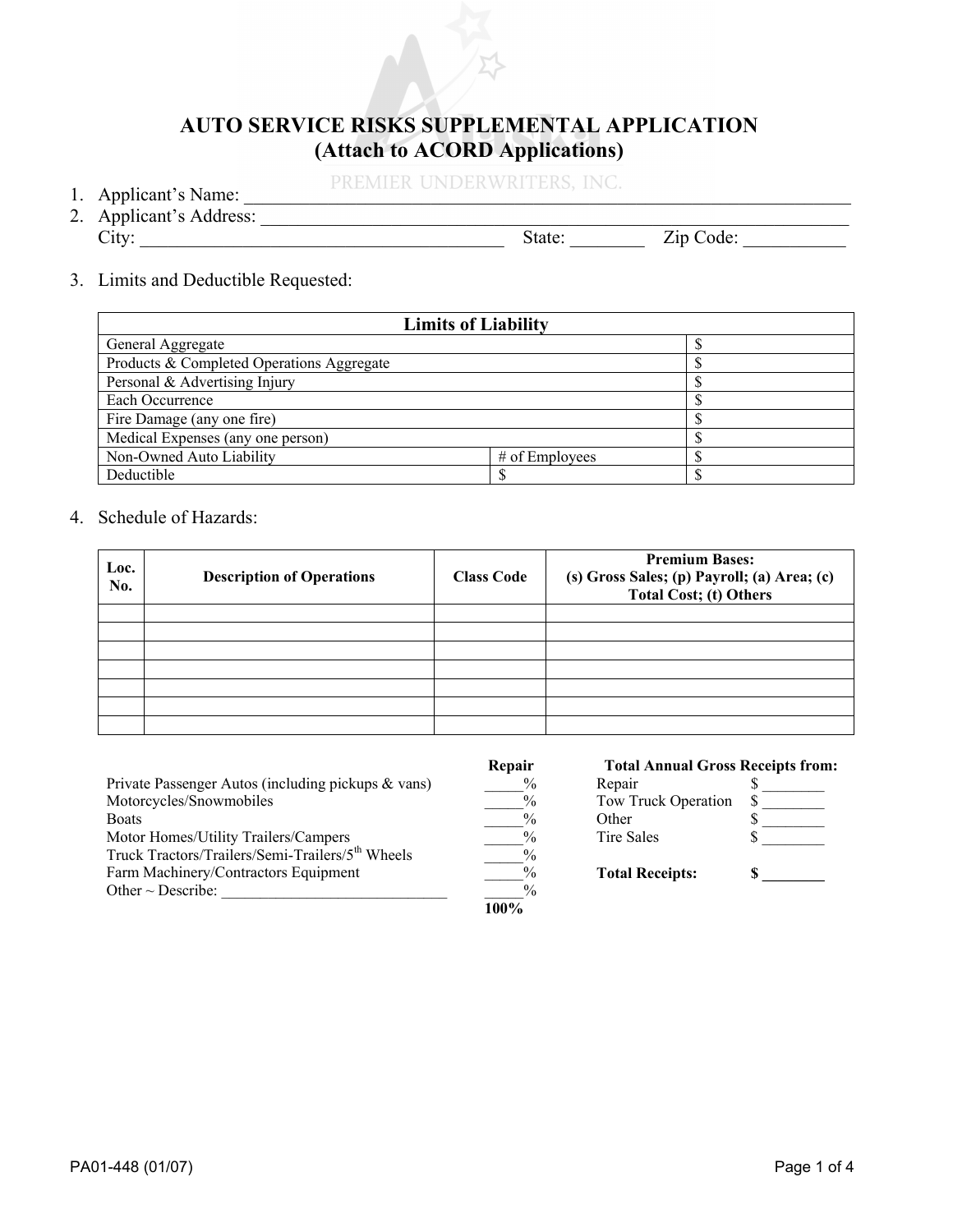

## **AUTO SERVICE RISKS SUPPLEMENTAL APPLICATION (Attach to ACORD Applications)**

1. Applicant's Name: PREMIER UNDERWRITERS, INC.

- 
- 2. Applicant's Address: City: \_\_\_\_\_\_\_\_\_\_\_\_\_\_\_\_\_\_\_\_\_\_\_\_\_\_\_\_\_\_\_\_\_\_\_\_\_\_\_ State: \_\_\_\_\_\_\_\_ Zip Code: \_\_\_\_\_\_\_\_\_\_\_
- 3. Limits and Deductible Requested:

| <b>Limits of Liability</b>                |  |  |  |  |  |
|-------------------------------------------|--|--|--|--|--|
| General Aggregate                         |  |  |  |  |  |
| Products & Completed Operations Aggregate |  |  |  |  |  |
| Personal & Advertising Injury             |  |  |  |  |  |
| Each Occurrence                           |  |  |  |  |  |
| Fire Damage (any one fire)                |  |  |  |  |  |
| Medical Expenses (any one person)         |  |  |  |  |  |
| Non-Owned Auto Liability                  |  |  |  |  |  |
| Deductible                                |  |  |  |  |  |

4. Schedule of Hazards:

| Loc.<br>No. | <b>Description of Operations</b> | <b>Class Code</b> | <b>Premium Bases:</b><br>(s) Gross Sales; (p) Payroll; (a) Area; (c)<br><b>Total Cost; (t) Others</b> |
|-------------|----------------------------------|-------------------|-------------------------------------------------------------------------------------------------------|
|             |                                  |                   |                                                                                                       |
|             |                                  |                   |                                                                                                       |
|             |                                  |                   |                                                                                                       |
|             |                                  |                   |                                                                                                       |
|             |                                  |                   |                                                                                                       |
|             |                                  |                   |                                                                                                       |
|             |                                  |                   |                                                                                                       |

|                                                              | Repair        | <b>Total Annual Gross Receipts from:</b> |  |
|--------------------------------------------------------------|---------------|------------------------------------------|--|
| Private Passenger Autos (including pickups & vans)           | $\frac{0}{0}$ | Repair                                   |  |
| Motorcycles/Snowmobiles                                      | $\frac{0}{0}$ | Tow Truck Operation                      |  |
| Boats                                                        | $\frac{0}{0}$ | Other                                    |  |
| Motor Homes/Utility Trailers/Campers                         | $\frac{0}{0}$ | <b>Tire Sales</b>                        |  |
| Truck Tractors/Trailers/Semi-Trailers/5 <sup>th</sup> Wheels | $\frac{0}{0}$ |                                          |  |
| Farm Machinery/Contractors Equipment                         | $\frac{0}{0}$ | <b>Total Receipts:</b>                   |  |
| Other $\sim$ Describe:                                       | $\frac{0}{0}$ |                                          |  |
|                                                              | 100%          |                                          |  |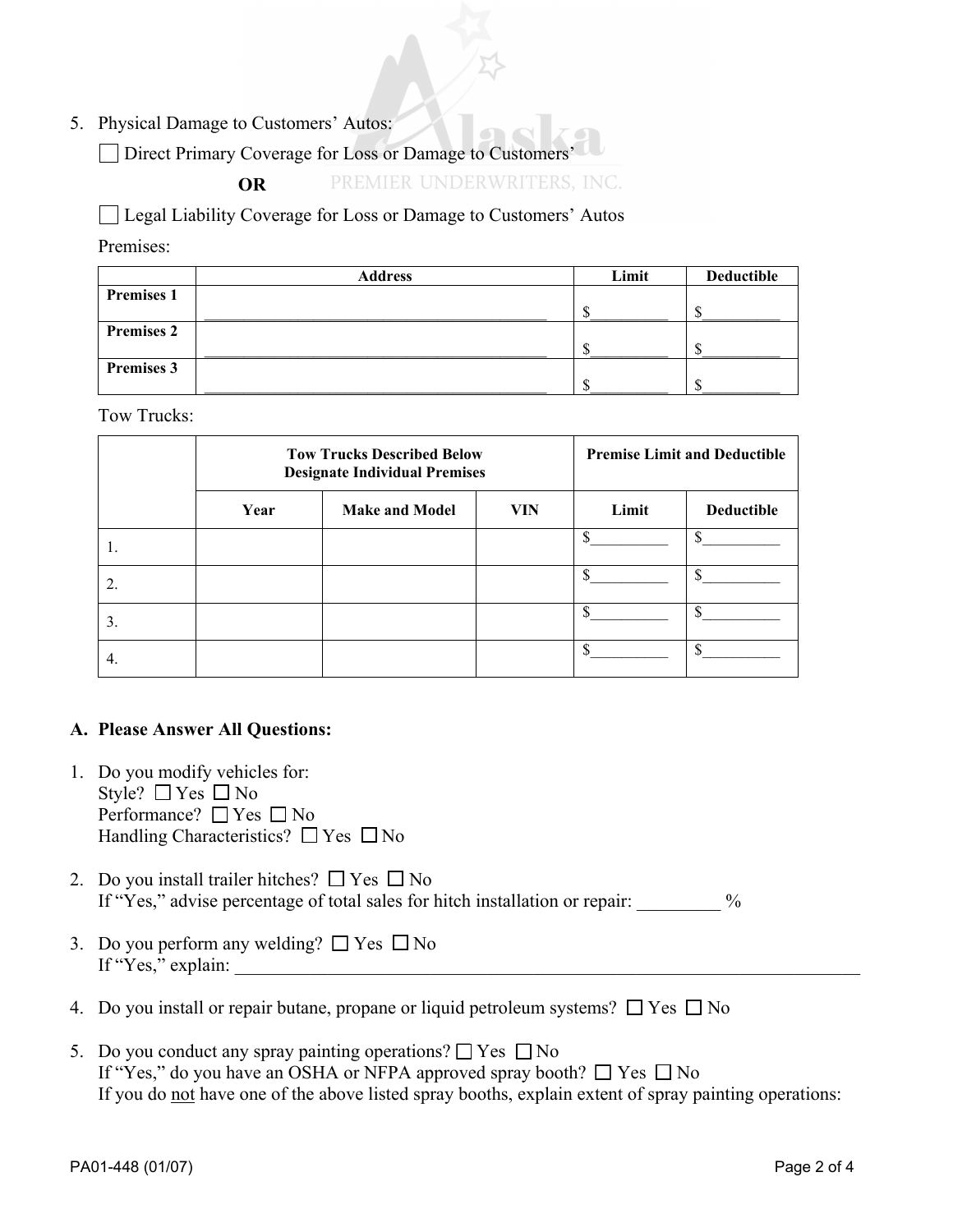5. Physical Damage to Customers' Autos:

Direct Primary Coverage for Loss or Damage to Customers'

 **OR** 

PREMIER UNDERWRITERS, INC.

□ Legal Liability Coverage for Loss or Damage to Customers' Autos

Premises:

|                   | <b>Address</b> | Limit | Deductible |
|-------------------|----------------|-------|------------|
| <b>Premises 1</b> |                |       |            |
|                   |                |       |            |
| <b>Premises 2</b> |                |       |            |
|                   |                |       |            |
| <b>Premises 3</b> |                |       |            |
|                   |                |       |            |

Tow Trucks:

|     | <b>Tow Trucks Described Below</b><br><b>Designate Individual Premises</b> |                       |            | <b>Premise Limit and Deductible</b> |                   |
|-----|---------------------------------------------------------------------------|-----------------------|------------|-------------------------------------|-------------------|
|     | Year                                                                      | <b>Make and Model</b> | <b>VIN</b> | Limit                               | <b>Deductible</b> |
|     |                                                                           |                       |            |                                     |                   |
|     |                                                                           |                       |            |                                     |                   |
| 3.  |                                                                           |                       |            |                                     |                   |
| -4. |                                                                           |                       |            |                                     | ሖ                 |

## **A. Please Answer All Questions:**

- 1. Do you modify vehicles for: Style?  $\Box$  Yes  $\Box$  No Performance?  $\Box$  Yes  $\Box$  No Handling Characteristics?  $\Box$  Yes  $\Box$  No
- 2. Do you install trailer hitches?  $\Box$  Yes  $\Box$  No If "Yes," advise percentage of total sales for hitch installation or repair:  $\%$
- 3. Do you perform any welding?  $\Box$  Yes  $\Box$  No If "Yes," explain:
- 4. Do you install or repair butane, propane or liquid petroleum systems?  $\Box$  Yes  $\Box$  No
- 5. Do you conduct any spray painting operations?  $\Box$  Yes  $\Box$  No If "Yes," do you have an OSHA or NFPA approved spray booth?  $\Box$  Yes  $\Box$  No If you do not have one of the above listed spray booths, explain extent of spray painting operations: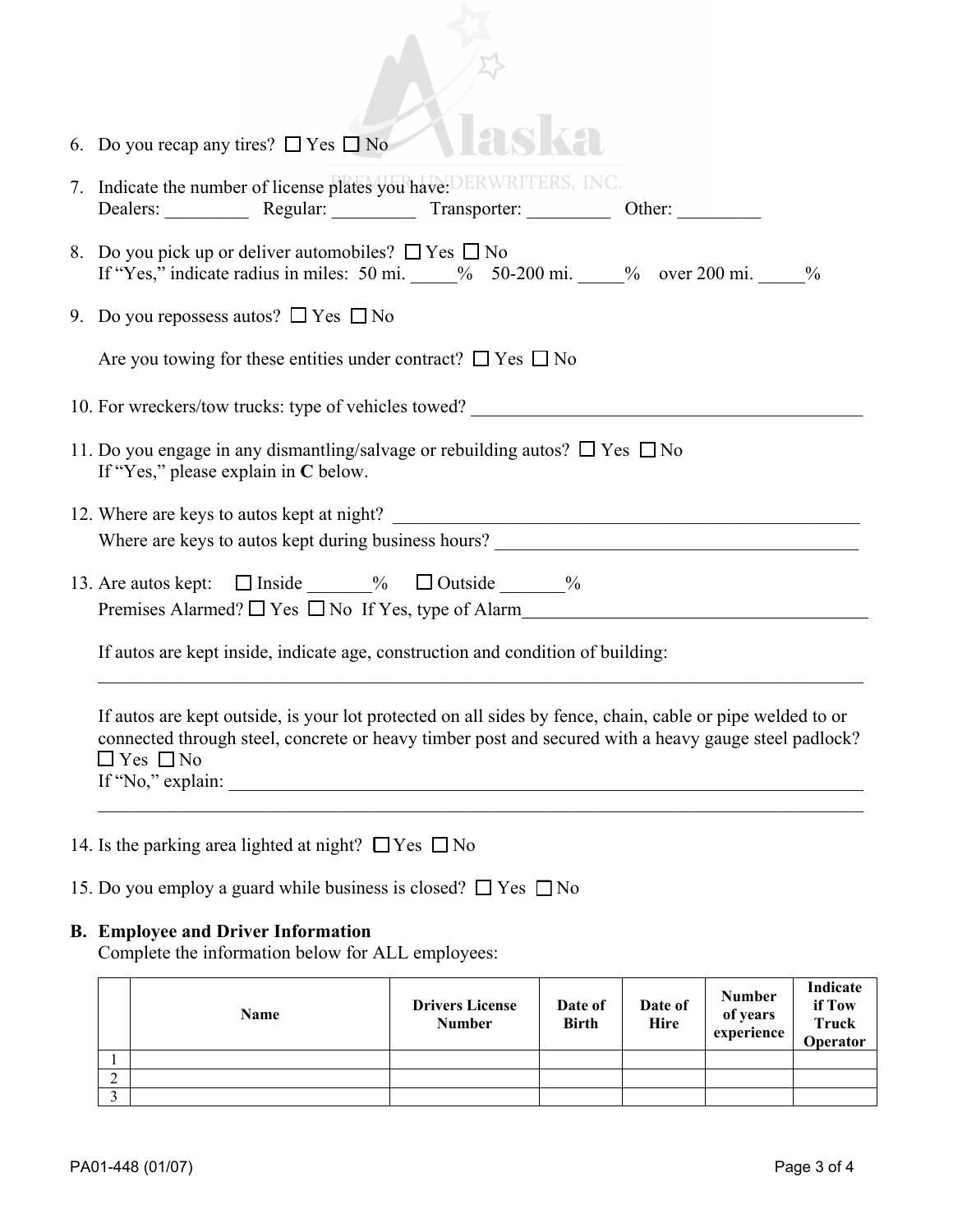| 6. Do you recap any tires? $\Box$ Yes $\Box$ No                                                                                                                                                                                                                                                                                                                                                                                                                                                                                                                                                                       |
|-----------------------------------------------------------------------------------------------------------------------------------------------------------------------------------------------------------------------------------------------------------------------------------------------------------------------------------------------------------------------------------------------------------------------------------------------------------------------------------------------------------------------------------------------------------------------------------------------------------------------|
| 7. Indicate the number of license plates you have: DERWRITERS, INC.<br>Dealers: Regular: Transporter: Other: Other:                                                                                                                                                                                                                                                                                                                                                                                                                                                                                                   |
| 8. Do you pick up or deliver automobiles? $\Box$ Yes $\Box$ No<br>If "Yes," indicate radius in miles: 50 mi. $\frac{9}{6}$ 50-200 mi. $\frac{9}{6}$ over 200 mi. $\frac{9}{6}$                                                                                                                                                                                                                                                                                                                                                                                                                                        |
| 9. Do you repossess autos? $\Box$ Yes $\Box$ No                                                                                                                                                                                                                                                                                                                                                                                                                                                                                                                                                                       |
| Are you towing for these entities under contract? $\Box$ Yes $\Box$ No                                                                                                                                                                                                                                                                                                                                                                                                                                                                                                                                                |
| 10. For wreckers/tow trucks: type of vehicles towed?                                                                                                                                                                                                                                                                                                                                                                                                                                                                                                                                                                  |
| 11. Do you engage in any dismantling/salvage or rebuilding autos? $\Box$ Yes $\Box$ No<br>If "Yes," please explain in C below.                                                                                                                                                                                                                                                                                                                                                                                                                                                                                        |
| <u> 1989 - Johann Harry Harry Harry Harry Harry Harry Harry Harry Harry Harry Harry Harry Harry Harry Harry Harry Harry Harry Harry Harry Harry Harry Harry Harry Harry Harry Harry Harry Harry Harry Harry Harry Harry Harry Ha</u><br>12. Where are keys to autos kept at night?                                                                                                                                                                                                                                                                                                                                    |
| Where are keys to autos kept during business hours?                                                                                                                                                                                                                                                                                                                                                                                                                                                                                                                                                                   |
| 13. Are autos kept: $\Box$ Inside $\Box$ % $\Box$ Outside $\Box$ %<br>Premises Alarmed? $\Box$ Yes $\Box$ No If Yes, type of Alarm                                                                                                                                                                                                                                                                                                                                                                                                                                                                                    |
| If autos are kept inside, indicate age, construction and condition of building:                                                                                                                                                                                                                                                                                                                                                                                                                                                                                                                                       |
| If autos are kept outside, is your lot protected on all sides by fence, chain, cable or pipe welded to or<br>connected through steel, concrete or heavy timber post and secured with a heavy gauge steel padlock?<br>$\Box$ Yes $\Box$ No<br>If "No," explain: $\sqrt{\frac{2}{\pi}}$ = $\sqrt{\frac{2}{\pi}}$ = $\sqrt{\frac{2}{\pi}}$ = $\sqrt{\frac{2}{\pi}}$ = $\sqrt{\frac{2}{\pi}}$ = $\sqrt{\frac{2}{\pi}}$ = $\sqrt{\frac{2}{\pi}}$ = $\sqrt{\frac{2}{\pi}}$ = $\sqrt{\frac{2}{\pi}}$ = $\sqrt{\frac{2}{\pi}}$ = $\sqrt{\frac{2}{\pi}}$ = $\sqrt{\frac{2}{\pi}}$ = $\sqrt{\frac{2}{\pi}}$ = $\sqrt{\frac{2}{$ |
|                                                                                                                                                                                                                                                                                                                                                                                                                                                                                                                                                                                                                       |
| 14. Is the parking area lighted at night? $\Box$ Yes $\Box$ No                                                                                                                                                                                                                                                                                                                                                                                                                                                                                                                                                        |
| 15. Do you employ a guard while business is closed? $\Box$ Yes $\Box$ No                                                                                                                                                                                                                                                                                                                                                                                                                                                                                                                                              |
| <b>B.</b> Employee and Driver Information<br>Complete the information below for ALL employees:                                                                                                                                                                                                                                                                                                                                                                                                                                                                                                                        |
| Indicate<br>Numher                                                                                                                                                                                                                                                                                                                                                                                                                                                                                                                                                                                                    |

| <b>Name</b> | <b>Drivers License</b><br><b>Number</b> | Date of<br><b>Birth</b> | Date of<br>Hire | <b>Number</b><br>of years<br>experience | Indicate<br>if Tow<br><b>Truck</b><br><b>Operator</b> |
|-------------|-----------------------------------------|-------------------------|-----------------|-----------------------------------------|-------------------------------------------------------|
|             |                                         |                         |                 |                                         |                                                       |
|             |                                         |                         |                 |                                         |                                                       |
|             |                                         |                         |                 |                                         |                                                       |